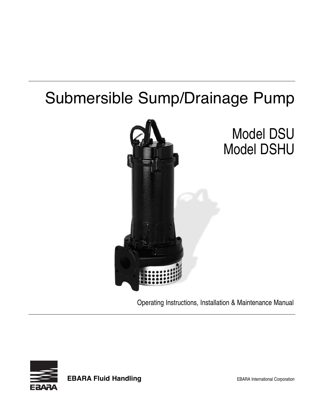# Submersible Sump/Drainage Pump



Operating Instructions, Installation & Maintenance Manual



**EBARA Fluid Handling EBARA** International Corporation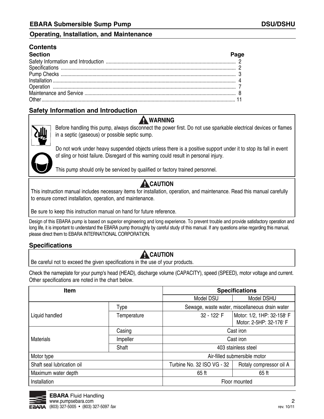#### **Contents**

| <b>Section</b> |  |
|----------------|--|
|                |  |
|                |  |
|                |  |
|                |  |
|                |  |
|                |  |
|                |  |

#### **Safety Information and Introduction**

### **warning**



before handling this pump, always disconnect the power first. Do not use sparkable electrical devices or flames in a septic (gaseous) or possible septic sump.



Do not work under heavy suspended objects unless there is a positive support under it to stop its fall in event of sling or hoist failure. Disregard of this warning could result in personal injury.

This pump should only be serviced by qualified or factory trained personnel.

### **A** CAUTION

This instruction manual includes necessary items for installation, operation, and maintenance. Read this manual carefully to ensure correct installation, operation, and maintenance.

be sure to keep this instruction manual on hand for future reference.

Design of this EBARA pump is based on superior engineering and long experience. To prevent trouble and provide satisfactory operation and long life, it is important to understand the EBARA pump thoroughly by careful study of this manual. If any questions arise regarding this manual, please direct them to EBARA INTERNATIONAL CORPORATION.

#### **Specifications**

### **A** CAUTION

be careful not to exceed the given specifications in the use of your products.

Check the nameplate for your pump's head (HEaD), discharge volume (CaPaCITY), speed (SPEED), motor voltage and current. Other specifications are noted in the chart below.

| <b>Item</b>                |             | <b>Specifications</b>                          |                                                       |  |
|----------------------------|-------------|------------------------------------------------|-------------------------------------------------------|--|
|                            |             | Model DSU                                      | Model DSHU                                            |  |
| Type                       |             | Sewage, waste water, miscellaneous drain water |                                                       |  |
| Liquid handled             | Temperature | 32 - 122° F                                    | Motor: 1/2, 1HP: 32-158° F<br>Motor: 2-5HP: 32-176° F |  |
|                            | Casing      | Cast iron                                      |                                                       |  |
| <b>Materials</b>           | Impeller    | Cast iron                                      |                                                       |  |
|                            | Shaft       | 403 stainless steel                            |                                                       |  |
| Motor type                 |             | Air-filled submersible motor                   |                                                       |  |
| Shaft seal lubrication oil |             | Turbine No. 32 ISO VG - 32                     | Rotaly compressor oil A                               |  |
| Maximum water depth        |             | 65 <sub>ft</sub>                               | 65 ft                                                 |  |
| Installation               |             | Floor mounted                                  |                                                       |  |

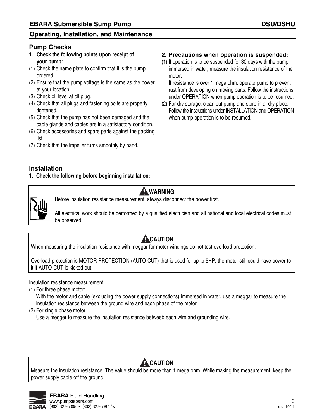#### **Pump Checks**

- **1. Check the following points upon receipt of your pump:**
- (1) Check the name plate to confirm that it is the pump ordered.
- (2) Ensure that the pump voltage is the same as the power at your location.
- (3) Check oil level at oil plug.
- (4) Check that all plugs and fastening bolts are properly tightened.
- (5) Check that the pump has not been damaged and the cable glands and cables are in a satisfactory condition.
- (6) Check accessories and spare parts against the packing list.
- (7) Check that the impeller turns smoothly by hand.

#### **2. Precautions when operation is suspended:**

(1) If operation is to be suspended for 30 days with the pump immersed in water, measure the insulation resistance of the motor.

If resistance is over 1 mega ohm, operate pump to prevent rust from developing on moving parts. Follow the instructions under OPEraTION when pump operation is to be resumed.

(2) For dry storage, clean out pump and store in a dry place. Follow the instructions under INSTALLATION and OPERATION when pump operation is to be resumed.

#### **Installation**

**1. Check the following before beginning installation:**



### **warning**

before insulation resistance measurement, always disconnect the power first.

all electrical work should be performed by a qualified electrician and all national and local electrical codes must be observed.

## **ACAUTION**

When measuring the insulation resistance with meggar for motor windings do not test overload protection.

Overload protection is MOTOr PrOTECTION (aUTO-CUT) that is used for up to 5HP; the motor still could have power to it if aUTO-CUT is kicked out.

Insulation resistance measurement:

(1) For three phase motor:

With the motor and cable (excluding the power supply connections) immersed in water, use a meggar to measure the insulation resistance between the ground wire and each phase of the motor.

(2) For single phase motor:

Use a megger to measure the insulation resistance betweeb each wire and grounding wire.

## **A** CAUTION

Measure the insulation resistance. The value should be more than 1 mega ohm. While making the measurement, keep the power supply cable off the ground.

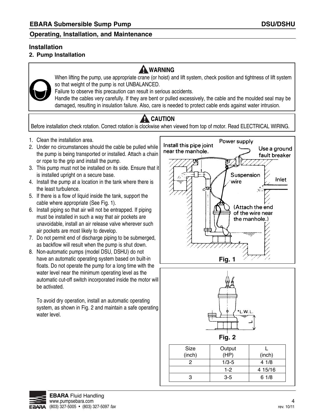#### **Installation**

#### **2. Pump Installation**

### **warning**



When lifting the pump, use appropriate crane (or hoist) and lift system, check position and tightness of lift system so that weight of the pump is not UNBALANCED.

Failure to observe this precaution can result in serious accidents.

Handle the cables very carefully. If they are bent or pulled excessively, the cable and the moulded seal may be damaged, resulting in insulation failure. Also, care is needed to protect cable ends against water intrusion.

## **A** CAUTION

Before installation check rotation. Correct rotation is clockwise when viewed from top of motor. Read ELECTRICAL WIRING.

- 1. Clean the installation area.
- 2. Under no circumstances should the cable be pulled while the pump is being transported or installed. Attach a chain or rope to the grip and install the pump.
- 3. This pump must not be installed on its side. Ensure that it is installed upright on a secure base.
- 4. Install the pump at a location in the tank where there is the least turbulence.
- 5. If there is a flow of liquid inside the tank, support the cable where appropriate (See Fig. 1).
- 6. Install piping so that air will not be entrapped. If piping must be installed in such a way that air pockets are unavoidable, install an air release valve wherever such air pockets are most likely to develop.
- 7. Do not permit end of discharge piping to be submerged, as backflow will result when the pump is shut down.
- 8. Non-automatic pumps (model DSU, DSHU) do not have an automatic operating system based on built-in floats. Do not operate the pump for a long time with the water level near the minimum operating level as the automatic cut-off switch incorporated inside the motor will be activated.

To avoid dry operation, install an automatic operating system, as shown in Fig. 2 and maintain a safe operating water level.





|        | гıy. z    |         |
|--------|-----------|---------|
| Size   | Output    |         |
| (inch) | (HP)      | (inch)  |
| 2      | $1/3 - 5$ | 4 1/8   |
|        | $1-2$     | 4 15/16 |
| 3      | $3 - 5$   | 61/8    |

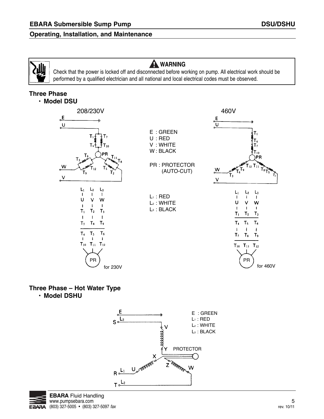### **warning**

Check that the power is locked off and disconnected before working on pump. all electrical work should be performed by a qualified electrician and all national and local electrical codes must be observed.

### **Three Phase**

**• Model DSU**



#### **Three Phase – Hot Water Type • Model DSHU**



![](_page_4_Picture_11.jpeg)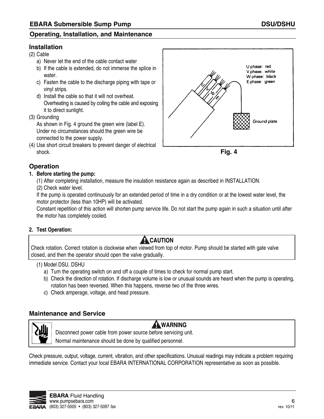#### **Installation**

(2) Cable

- a) Never let the end of the cable contact water
- b) If the cable is extended, do not immerse the splice in water.
- c) Fasten the cable to the discharge piping with tape or vinyl strips.
- d) Install the cable so that it will not overheat. Overheating is caused by coiling the cable and exposing it to direct sunlight.
- (3) Grounding

As shown in Fig. 4 ground the green wire (label E). Under no circumstances should the green wire be connected to the power supply.

(4) Use short circuit breakers to prevent danger of electrical shock.

![](_page_5_Figure_11.jpeg)

![](_page_5_Figure_12.jpeg)

#### **Operation**

#### **1. Before starting the pump:**

(1) after completing installation, measure the insulation resistance again as described in INSTaLLaTION.

(2) Check water level.

If the pump is operated continuously for an extended period of time in a dry condition or at the lowest water level, the motor protector (less than 10HP) will be activated.

Constant repetition of this action will shorten pump service life. Do not start the pump again in such a situation until after the motor has completely cooled.

#### **2. test operation:**

### **A** CAUTION

Check rotation. Correct rotation is clockwise when viewed from top of motor. Pump should be started with gate valve closed, and then the operator should open the valve gradually.

#### (1) Model DSU, DSHU

- a) Turn the operating switch on and off a couple of times to check for normal pump start.
- b) Check the direction of rotation. If discharge volume is low or unusual sounds are heard when the pump is operating, rotation has been reversed. When this happens, reverse two of the three wires.
- c) Check amperage, voltage, and head pressure.

#### **Maintenance and Service**

![](_page_5_Picture_27.jpeg)

### **warning**

Disconnect power cable from power source before servicing unit.

Normal maintenance should be done by qualified personnel.

Check pressure, output, voltage, current, vibration, and other specifications. Unusual readings may indicate a problem requiring immediate service. Contact your local EBARA INTERNATIONAL CORPORATION representative as soon as possible.

![](_page_5_Picture_32.jpeg)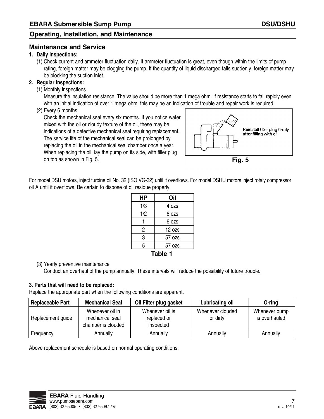#### **Maintenance and Service**

#### **1. Daily inspections:**

(1) Check current and ammeter fluctuation daily. If ammeter fluctuation is great, even though within the limits of pump rating, foreign matter may be clogging the pump. If the quantity of liquid discharged falls suddenly, foreign matter may be blocking the suction inlet.

#### **2. Regular inspections:**

(1) Monthly inspections

Measure the insulation resistance. The value should be more than 1 mega ohm. If resistance starts to fall rapidly even with an initial indication of over 1 mega ohm, this may be an indication of trouble and repair work is required.

(2) Every 6 months

Check the mechanical seal every six months. If you notice water mixed with the oil or cloudy texture of the oil, these may be indications of a defective mechanical seal requiring replacement. The service life of the mechanical seal can be prolonged by replacing the oil in the mechanical seal chamber once a year. When replacing the oil, lay the pump on its side, with filler plug on top as shown in Fig. 5.

![](_page_6_Figure_11.jpeg)

![](_page_6_Figure_12.jpeg)

| НP      | Oil      |  |  |  |
|---------|----------|--|--|--|
| 1/3     | 4 ozs    |  |  |  |
| 1/2     | 6 ozs    |  |  |  |
|         | 6 იzs    |  |  |  |
| 2       | $12$ ozs |  |  |  |
| 3       | 57 ozs   |  |  |  |
| 5       | 57 ozs   |  |  |  |
| rahla 1 |          |  |  |  |

#### **Table 1**

#### (3) Yearly preventive maintenance

Conduct an overhaul of the pump annually. These intervals will reduce the possibility of future trouble.

#### **3. Parts that will need to be replaced:**

Replace the appropriate part when the following conditions are apparent.

| <b>Replaceable Part</b> | <b>Mechanical Seal</b>                                   | Oil Filter plug gasket                      | Lubricating oil              | O-ring                         |
|-------------------------|----------------------------------------------------------|---------------------------------------------|------------------------------|--------------------------------|
| Replacement guide       | Whenever oil in<br>mechanical seal<br>chamber is clouded | Whenever oil is<br>replaced or<br>inspected | Whenever clouded<br>or dirty | Whenever pump<br>is overhauled |
| Frequency               | Annually                                                 | Annually                                    | Annually                     | Annually                       |

above replacement schedule is based on normal operating conditions.

![](_page_6_Picture_21.jpeg)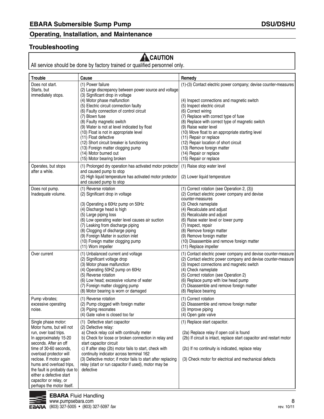#### **Troubleshooting**

## **A** CAUTION

All service should be done by factory trained or qualified personnel only.

| <b>Trouble</b>                                                                                                                                                                                                                                                                                                                                             | Cause                                                                                                                                                                                                                                                                                                                                                                                                                                                                                                                                         | Remedy                                                                                                                                                                                                                                                                                                                                                                                                                                                                                              |
|------------------------------------------------------------------------------------------------------------------------------------------------------------------------------------------------------------------------------------------------------------------------------------------------------------------------------------------------------------|-----------------------------------------------------------------------------------------------------------------------------------------------------------------------------------------------------------------------------------------------------------------------------------------------------------------------------------------------------------------------------------------------------------------------------------------------------------------------------------------------------------------------------------------------|-----------------------------------------------------------------------------------------------------------------------------------------------------------------------------------------------------------------------------------------------------------------------------------------------------------------------------------------------------------------------------------------------------------------------------------------------------------------------------------------------------|
| Does not start.<br>Starts, but<br>immediately stops.                                                                                                                                                                                                                                                                                                       | (1) Power failure<br>(2) Large discrepancy between power source and voltage<br>(3) Significant drop in voltage<br>(4) Motor phase malfunction<br>(5) Electric circuit connection faulty<br>(6) Faulty connection of control circuit<br>(7) Blown fuse<br>(8) Faulty magnetic switch<br>(9) Water is not at level indicated by float<br>(10) Float is not in appropriate level<br>(11) Float defective<br>(12) Short circuit breaker is functioning<br>(13) Foreign matter clogging pump<br>(14) Motor burned out<br>(15) Motor bearing broken | (1)-(3) Contact electric power company; devise counter-measures<br>(4) Inspect connections and magnetic switch<br>(5) Inspect electric circuit<br>(6) Correct wiring<br>(7) Replace with correct type of fuse<br>(8) Replace with correct type of magnetic switch<br>(9) Raise water level<br>(10) Move float to an appropriate starting level<br>(11) Repair or replace<br>(12) Repair location of short circuit<br>(13) Remove foreign matter<br>(14) Repair or replace<br>(15) Repair or replace |
| Operates, but stops<br>after a while.                                                                                                                                                                                                                                                                                                                      | (1) Prolonged dry operation has activated motor protector<br>and caused pump to stop<br>(2) High liquid temperature has activated motor protector<br>and caused pump to stop                                                                                                                                                                                                                                                                                                                                                                  | (1) Raise stop water level<br>(2) Lower liquid temperature                                                                                                                                                                                                                                                                                                                                                                                                                                          |
| Does not pump.<br>Inadequate volume.                                                                                                                                                                                                                                                                                                                       | (1) Reverse rotation<br>(2) Significant drop in voltage<br>(3) Operating a 60Hz pump on 50Hz<br>(4) Discharge head is high<br>(5) Large piping loss<br>(6) Low operating water level causes air suction<br>(7) Leaking from discharge piping<br>(8) Clogging of discharge piping<br>(9) Foreign Matter in suction inlet<br>(10) Foreign matter clogging pump<br>(11) Worn impeller                                                                                                                                                            | (1) Correct rotation (see Operation 2, (3))<br>(2) Contact electric power company and devise<br>counter-measures<br>(3) Check nameplate<br>(4) Recalculate and adjust<br>(5) Recalculate and adjust<br>(6) Raise water level or lower pump<br>(7) Inspect, repair<br>(8) Remove foreign matter<br>(9) Remove foreign matter<br>(10) Disassemble and remove foreign matter<br>(11) Replace impeller                                                                                                  |
| Over current                                                                                                                                                                                                                                                                                                                                               | (1) Unbalanced current and voltage<br>(2) Significant voltage drop<br>(3) Motor phase malfunction<br>(4) Operating 50HZ pump on 60Hz<br>(5) Reverse rotation<br>(6) Low head; excessive volume of water<br>(7) Foreign matter clogging pump<br>(8) Motor bearing is worn or damaged                                                                                                                                                                                                                                                           | (1) Contact electric power company and devise counter-measure<br>(2) Contact electric power company and devise counter-measure<br>(3) Inspect connections and magnetic switch<br>(4) Check nameplate<br>(5) Correct rotation (see Operation 2)<br>(6) Replace pump with low head pump<br>(7) Disassemble and remove foreign matter<br>(8) Replace bearing                                                                                                                                           |
| Pump vibrates;<br>excessive operating<br>noise.                                                                                                                                                                                                                                                                                                            | (1) Reverse rotation<br>(2) Pump clogged with foreign matter<br>(3) Piping resonates<br>(4) Gate valve is closed too far                                                                                                                                                                                                                                                                                                                                                                                                                      | (1) Correct rotation<br>(2) Disassemble and remove foreign matter<br>(3) Improve piping<br>(4) Open gate valve                                                                                                                                                                                                                                                                                                                                                                                      |
| Single phase motor:<br>Motor hums, but will not<br>run, over load trips.<br>In approximately 15-20<br>seconds. After an off<br>time of 30-60 seconds,<br>overload protector will<br>reclose. If motor again<br>hums and overload trips,<br>the fault is probably due to<br>either a defective start<br>capacitor or relay, or<br>perhaps the motor itself. | (1) Defective start capacitor<br>(2) Defective relay:<br>a) Check relay coil with continuity meter<br>b) Check for loose or broken connection in relay and<br>start capacitor circuit<br>c) If after step (2b) motor fails to start, check with<br>continuity indicator across terminal 162<br>(3) Defective motor; if motor fails to start after replacing<br>relay (start or run capacitor if used), motor may be<br>defective                                                                                                              | (1) Replace start capacitor.<br>(2a) Replace relay if open coil is found<br>(2b) If circuit is intact, replace start capacitor and restart motor<br>(2c) If no continuity is indicated, replace relay<br>(3) Check motor for electrical and mechanical defects                                                                                                                                                                                                                                      |

![](_page_7_Picture_6.jpeg)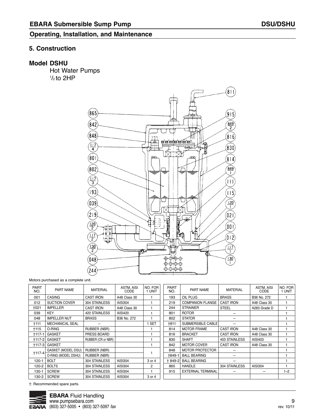#### **5. Construction**

#### **Model DSHU**

Hot Water Pumps  $1/2$  to 2HP

![](_page_8_Figure_5.jpeg)

Motors purchased as a complete unit.

| <b>PART</b><br>NO. | PART NAME              | <b>MATERIAL</b>     | ASTM, AISI<br>CODE | NO. FOR<br>1 UNIT | <b>PART</b><br>NO. | PART NAME                | <b>MATERIAL</b>      | ASTM, AISI<br>CODE | NO. FOR<br>1 UNIT |
|--------------------|------------------------|---------------------|--------------------|-------------------|--------------------|--------------------------|----------------------|--------------------|-------------------|
| 001                | <b>CASING</b>          | <b>CAST IRON</b>    | A48 Class 30       |                   | 193                | OIL PLUG                 | <b>BRASS</b>         | B36 No. 272        |                   |
| 012                | <b>SUCTION COVER</b>   | 304 STAINLESS       | AISI304            |                   | 219                | <b>COMPANION FLANGE</b>  | <b>CAST IRON</b>     | A48 Class 30       |                   |
| †021               | <b>IMPELLER</b>        | <b>CAST IRON</b>    | A48 Class 30       | 1                 | 244                | <b>STRAINER</b>          | <b>STEEL</b>         | A283 Grade D       |                   |
| 039                | <b>KEY</b>             | 420 STAINLESS       | AISI420            | 1                 | 801                | <b>ROTOR</b>             |                      |                    |                   |
| 048                | <b>IMPELLER NUT</b>    | <b>BRASS</b>        | B36 No. 272        |                   | 802                | <b>STATOR</b>            |                      |                    |                   |
| †111               | <b>MECHANICAL SEAL</b> |                     |                    | <b>SET</b>        | †811               | SUBMERSIBLE CABLE        |                      |                    |                   |
| <b>t115</b>        | O-RING                 | RUBBER (NBR)        |                    |                   | 814                | <b>MOTOR FRAME</b>       | <b>CAST IRON</b>     | A48 Class 30       |                   |
| +117-1             | <b>GASKET</b>          | PRESS BOARD         |                    |                   | 816                | <b>BRACKET</b>           | <b>CAST IRON</b>     | A48 Class 30       |                   |
| +117-2             | <b>GASKET</b>          | RUBBER (CR or NBR)  |                    |                   | 830                | <b>SHAFT</b>             | <b>403 STAINLESS</b> | AISI403            |                   |
| $+117-3$           | <b>GASKET</b>          |                     |                    |                   | 842                | <b>MOTOR COVER</b>       | <b>CAST IRON</b>     | A48 Class 30       |                   |
| $+117-4$           | GASKET (MODEL DSU)     | <b>RUBBER (NBR)</b> |                    |                   | 848                | <b>MOTOR PROTECTOR</b>   |                      |                    |                   |
|                    | O-RING (MODEL DSHU)    | <b>RUBBER (NBR)</b> |                    |                   | +849-1             | <b>BALL BEARING</b>      |                      |                    |                   |
| $120 - 1$          | <b>BOLT</b>            | 304 STAINLESS       | AISI304            | 3 or 4            | + 849-2            | <b>BALL BEARING</b>      |                      |                    |                   |
| 120-2              | <b>BOLTS</b>           | 304 STAINLESS       | AISI304            | 2                 | 865                | <b>HANDLE</b>            | 304 STAINLESS        | AISI304            |                   |
| 130-1              | <b>SCREW</b>           | 304 STAINLESS       | AISI304            |                   | 915                | <b>EXTERNAL TERMINAL</b> |                      |                    | $1 - 2$           |
| 130-2              | <b>SCREW</b>           | 304 STAINLESS       | AISI304            | 3 or 4            |                    |                          |                      |                    |                   |

†: Recommended spare parts.

![](_page_8_Picture_9.jpeg)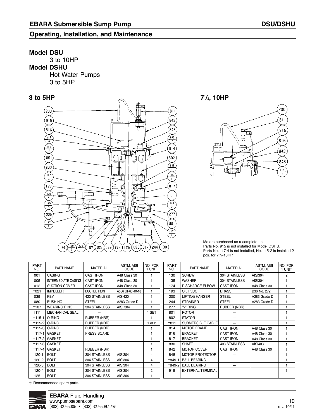#### **Model DSU**

3 to 10HP **Model DSHU**  Hot Water Pumps 3 to 5HP

![](_page_9_Figure_5.jpeg)

**71 3 to 5HP /2, 10HP**

![](_page_9_Figure_7.jpeg)

Motors purchased as a complete unit. Parts No. 915 is not installed for Model DSHU. Parts No. 117-4 is not installed, No. 115-2 is installed 2 pcs. for 71 /2 -10HP.

| <b>PART</b><br>NO. | <b>PART NAME</b>           | MATERIAL            | ASTM, AISI<br>CODE | NO. FOR<br>1 UNIT |  |
|--------------------|----------------------------|---------------------|--------------------|-------------------|--|
| 001                | CASING                     | <b>CAST IRON</b>    | A48 Class 30       | 1                 |  |
| 005                | <b>INTERMEDIATE CASING</b> | <b>CAST IRON</b>    | A48 Class 30       | 1                 |  |
| 012                | <b>SUCTION COVER</b>       | <b>CAST IRON</b>    | A48 Class 30       | 1                 |  |
| +021               | <b>IMPELLER</b>            | <b>DUCTILE IRON</b> | A536 GR60-40-18    | 1                 |  |
| 039                | KEY                        | 420 STAINLESS       | AISI420            | 1                 |  |
| 080                | <b>BUSHING</b>             | <b>STEEL</b>        | A283 Grade D       | 1                 |  |
| +107               | <b>WEARING RING</b>        | 304 STAINLESS       | <b>AISI 304</b>    | 1                 |  |
| †111               | <b>MECHANICAL SEAL</b>     |                     |                    | 1 SET             |  |
| $+115-1$           | O-RING                     | <b>RUBBER (NBR)</b> |                    | 1                 |  |
| +115-2             | O-RING                     | <b>RUBBER (NBR)</b> |                    | 1 or $2$          |  |
|                    | <b>+115-3 O-RING</b>       | RUBBER (NBR)        |                    | 1                 |  |
| $+117-1$           | <b>GASKET</b>              | PRESS BOARD         |                    | 1                 |  |
| +117-2             | <b>GASKET</b>              |                     |                    | 1                 |  |
|                    | <b>†117-3 GASKET</b>       |                     |                    | 1                 |  |
| $+117-4$           | <b>GASKET</b>              | RUBBER (NBR)        |                    | 1                 |  |
| $120 - 1$          | <b>BOLT</b>                | 304 STAINLESS       | AISI304            | 4                 |  |
| 120-2              | <b>BOLT</b>                | 304 STAINLESS       | AISI304            | 4                 |  |
| 120-3              | <b>BOLT</b>                | 304 STAINLESS       | AISI304            | 4                 |  |
| 120-4              | <b>BOLT</b>                | 304 STAINLESS       | <b>AISI304</b>     | 2                 |  |
| 125                | <b>BOLT</b>                | 304 STAINLESS       | AISI304            | 1                 |  |

PART NO. 130 135 174 193 200 244 277 801 802 †811 814 816 817 830 842 848 †849-1 †849-2 915 PART NAME **SCREW** WASHER DISCHARGE ELBOW OIL PLUG LIFTING HANGER STRAINER "V" RING ROTOR STATOR SUBMERSIBLE CABLE MOTOR FRAME BRACKET BRACKET **SHAFT** MOTOR COVER MOTOR PROTECTOR BALL BEARING BALL BEARING ExTERNAL TERMINAL MATERIAL 304 STAINLESS 304 STAINLESS CAST IRON **BRASS STEEL** STEEL RUBBER (NBR) — — — CAST IRON CAST IRON CAST IRON 403 STAINLESS CAST IRON —  $\overline{a}$ — ASTM, AISI CODE AISI304 AISI304 A48 Class 30 B36 No. 272 A283 Grade D A283 Grade D A48 Class 30 A48 Class 30 A48 Class 30 AISI403 A48 Class 30 NO. FOR 1 UNIT 2 1 1 1 1 1 1 1 1 1 1 1 1 1 1 1 1 1 1

†: Recommended spare parts.

![](_page_9_Picture_12.jpeg)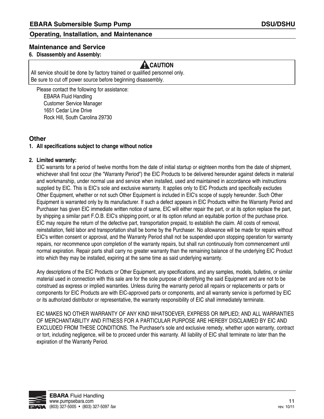#### **Maintenance and Service**

#### **6. Disassembly and assembly:**

### **A** CAUTION

All service should be done by factory trained or qualified personnel only. be sure to cut off power source before beginning disassembly.

Please contact the following for assistance: **EBARA Fluid Handling** Customer Service Manager 1651 Cedar Line Drive Rock Hill, South Carolina 29730

#### **Other**

#### **1. all specifications subject to change without notice**

#### **2. Limited warranty:**

EIC warrants for a period of twelve months from the date of initial startup or eighteen months from the date of shipment, whichever shall first occur (the "Warranty Period") the EIC Products to be delivered hereunder against defects in material and workmanship, under normal use and service when installed, used and maintained in accordance with instructions supplied by EIC. This is EIC's sole and exclusive warranty. It applies only to EIC Products and specifically excludes Other Equipment, whether or not such Other Equipment is included in EIC's scope of supply hereunder. Such Other Equipment is warranted only by its manufacturer. If such a defect appears in EIC Products within the Warranty Period and Purchaser has given EIC immediate written notice of same, EIC will either repair the part, or at its option replace the part, by shipping a similar part F.O.b. EIC's shipping point, or at its option refund an equitable portion of the purchase price. EIC may require the return of the defective part, transportation prepaid, to establish the claim. all costs of removal, reinstallation, field labor and transportation shall be borne by the Purchaser. No allowance will be made for repairs without EIC's written consent or approval, and the Warranty Period shall not be suspended upon stopping operation for warranty repairs, nor recommence upon completion of the warranty repairs, but shall run continuously from commencement until normal expiration. Repair parts shall carry no greater warranty than the remaining balance of the underlying EIC Product into which they may be installed, expiring at the same time as said underlying warranty.

any descriptions of the EIC Products or Other Equipment, any specifications, and any samples, models, bulletins, or similar material used in connection with this sale are for the sole purpose of identifying the said Equipment and are not to be construed as express or implied warranties. Unless during the warranty period all repairs or replacements or parts or components for EIC Products are with EIC-approved parts or components, and all warranty service is performed by EIC or its authorized distributor or representative, the warranty responsibility of EIC shall immediately terminate.

EIC MaKES NO OTHEr WarraNTY OF aNY KIND WHaTSOEVEr, EXPrESS Or IMPLIED; aND aLL WarraNTIES OF MErCHaNTabILITY aND FITNESS FOr a ParTICULar PUrPOSE arE HErEbY DISCLaIMED bY EIC aND EXCLUDED FrOM THESE CONDITIONS. The Purchaser's sole and exclusive remedy, whether upon warranty, contract or tort, including negligence, will be to proceed under this warranty. all liability of EIC shall terminate no later than the expiration of the Warranty Period.

![](_page_10_Picture_14.jpeg)